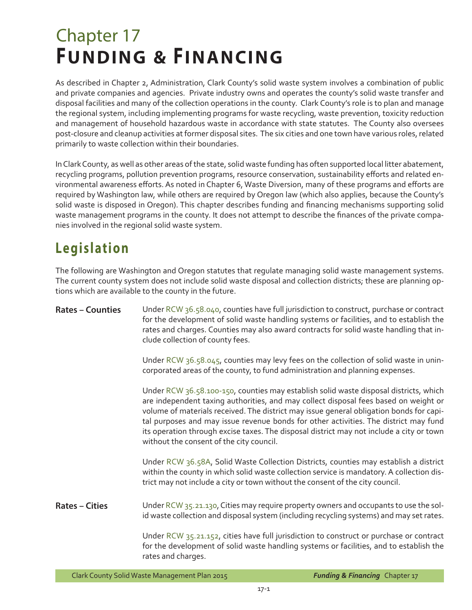# Chapter 17 **FUNDING & FINANCING**

As described in Chapter 2, Administration, Clark County's solid waste system involves a combination of public and private companies and agencies. Private industry owns and operates the county's solid waste transfer and disposal facilities and many of the collection operations in the county. Clark County's role is to plan and manage the regional system, including implementing programs for waste recycling, waste prevention, toxicity reduction and management of household hazardous waste in accordance with state statutes. The County also oversees post-closure and cleanup activities at former disposal sites. The six cities and one town have various roles, related primarily to waste collection within their boundaries.

In Clark County, as well as other areas of the state, solid waste funding has often supported local litter abatement, recycling programs, pollution prevention programs, resource conservation, sustainability efforts and related environmental awareness efforts. As noted in Chapter 6, Waste Diversion, many of these programs and efforts are required by Washington law, while others are required by Oregon law (which also applies, because the County's solid waste is disposed in Oregon). This chapter describes funding and financing mechanisms supporting solid waste management programs in the county. It does not attempt to describe the finances of the private companies involved in the regional solid waste system.

# **Legislation**

The following are Washington and Oregon statutes that regulate managing solid waste management systems. The current county system does not include solid waste disposal and collection districts; these are planning options which are available to the county in the future.

| <b>Rates - Counties</b> | Under RCW 36.58.040, counties have full jurisdiction to construct, purchase or contract<br>for the development of solid waste handling systems or facilities, and to establish the<br>rates and charges. Counties may also award contracts for solid waste handling that in-<br>clude collection of county fees.                                                                                                                                                                                         |
|-------------------------|----------------------------------------------------------------------------------------------------------------------------------------------------------------------------------------------------------------------------------------------------------------------------------------------------------------------------------------------------------------------------------------------------------------------------------------------------------------------------------------------------------|
|                         | Under RCW 36.58.045, counties may levy fees on the collection of solid waste in unin-<br>corporated areas of the county, to fund administration and planning expenses.                                                                                                                                                                                                                                                                                                                                   |
|                         | Under RCW 36.58.100-150, counties may establish solid waste disposal districts, which<br>are independent taxing authorities, and may collect disposal fees based on weight or<br>volume of materials received. The district may issue general obligation bonds for capi-<br>tal purposes and may issue revenue bonds for other activities. The district may fund<br>its operation through excise taxes. The disposal district may not include a city or town<br>without the consent of the city council. |
|                         | Under RCW 36.58A, Solid Waste Collection Districts, counties may establish a district<br>within the county in which solid waste collection service is mandatory. A collection dis-<br>trict may not include a city or town without the consent of the city council.                                                                                                                                                                                                                                      |
| <b>Rates – Cities</b>   | Under RCW 35.21.130, Cities may require property owners and occupants to use the sol-<br>id waste collection and disposal system (including recycling systems) and may set rates.                                                                                                                                                                                                                                                                                                                        |
|                         | Under RCW 35.21.152, cities have full jurisdiction to construct or purchase or contract<br>for the development of solid waste handling systems or facilities, and to establish the<br>rates and charges.                                                                                                                                                                                                                                                                                                 |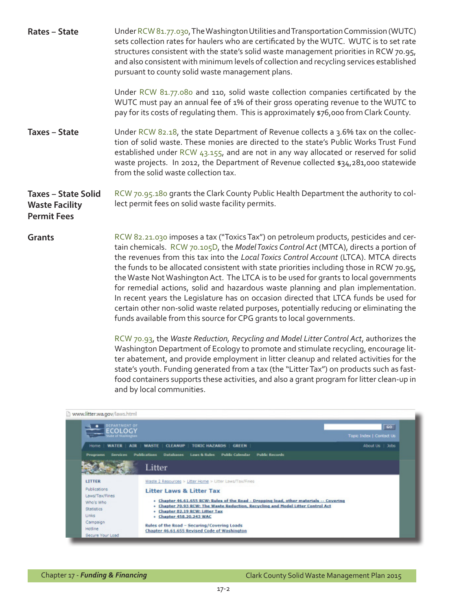| <b>Rates - State</b>                                                      | Under RCW 81.77.030, The Washington Utilities and Transportation Commission (WUTC)<br>sets collection rates for haulers who are certificated by the WUTC. WUTC is to set rate<br>structures consistent with the state's solid waste management priorities in RCW 70.95,<br>and also consistent with minimum levels of collection and recycling services established<br>pursuant to county solid waste management plans.                                                                                                                                                                                                                                                                                                                                                                                       |
|---------------------------------------------------------------------------|---------------------------------------------------------------------------------------------------------------------------------------------------------------------------------------------------------------------------------------------------------------------------------------------------------------------------------------------------------------------------------------------------------------------------------------------------------------------------------------------------------------------------------------------------------------------------------------------------------------------------------------------------------------------------------------------------------------------------------------------------------------------------------------------------------------|
|                                                                           | Under RCW 81.77.080 and 110, solid waste collection companies certificated by the<br>WUTC must pay an annual fee of 1% of their gross operating revenue to the WUTC to<br>pay for its costs of regulating them. This is approximately \$76,000 from Clark County.                                                                                                                                                                                                                                                                                                                                                                                                                                                                                                                                             |
| <b>Taxes - State</b>                                                      | Under RCW 82.18, the state Department of Revenue collects a 3.6% tax on the collec-<br>tion of solid waste. These monies are directed to the state's Public Works Trust Fund<br>established under RCW 43.155, and are not in any way allocated or reserved for solid<br>waste projects. In 2012, the Department of Revenue collected \$34,281,000 statewide<br>from the solid waste collection tax.                                                                                                                                                                                                                                                                                                                                                                                                           |
| <b>Taxes - State Solid</b><br><b>Waste Facility</b><br><b>Permit Fees</b> | RCW 70.95.180 grants the Clark County Public Health Department the authority to col-<br>lect permit fees on solid waste facility permits.                                                                                                                                                                                                                                                                                                                                                                                                                                                                                                                                                                                                                                                                     |
| <b>Grants</b>                                                             | RCW 82.21.030 imposes a tax ("Toxics Tax") on petroleum products, pesticides and cer-<br>tain chemicals. RCW 70.105D, the Model Toxics Control Act (MTCA), directs a portion of<br>the revenues from this tax into the Local Toxics Control Account (LTCA). MTCA directs<br>the funds to be allocated consistent with state priorities including those in RCW 70.95,<br>the Waste Not Washington Act. The LTCA is to be used for grants to local governments<br>for remedial actions, solid and hazardous waste planning and plan implementation.<br>In recent years the Legislature has on occasion directed that LTCA funds be used for<br>certain other non-solid waste related purposes, potentially reducing or eliminating the<br>funds available from this source for CPG grants to local governments. |
|                                                                           |                                                                                                                                                                                                                                                                                                                                                                                                                                                                                                                                                                                                                                                                                                                                                                                                               |

[RCW 70.93](http://apps.leg.wa.gov/rcw/default.aspx?cite=70.93), the *Waste Reduction, Recycling and Model Litter Control Act*, authorizes the Washington Department of Ecology to promote and stimulate recycling, encourage litter abatement, and provide employment in litter cleanup and related activities for the state's youth. Funding generated from a tax (the "Litter Tax") on products such as fastfood containers supports these activities, and also a grant program for litter clean-up in and by local communities.

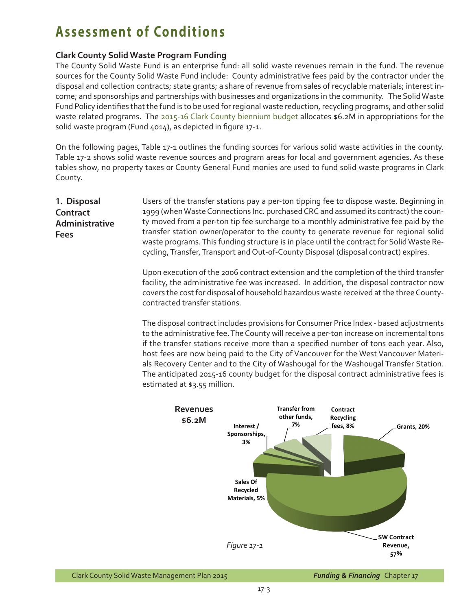# **Assessment of Conditions**

### **Clark County Solid Waste Program Funding**

The County Solid Waste Fund is an enterprise fund: all solid waste revenues remain in the fund. The revenue sources for the County Solid Waste Fund include: County administrative fees paid by the contractor under the disposal and collection contracts; state grants; a share of revenue from sales of recyclable materials; interest income; and sponsorships and partnerships with businesses and organizations in the community. The Solid Waste Fund Policy identifies that the fund is to be used for regional waste reduction, recycling programs, and other solid waste related programs. The [2015-16 Clark County biennium](http://www.clark.wa.gov/budget/documents.html) budget allocates \$6.2M in appropriations for the solid waste program (Fund 4014), as depicted in figure 17-1.

On the following pages, Table 17-1 outlines the funding sources for various solid waste activities in the county. Table 17-2 shows solid waste revenue sources and program areas for local and government agencies. As these tables show, no property taxes or County General Fund monies are used to fund solid waste programs in Clark County.

**1. Disposal Contract Administrative Fees**

Users of the transfer stations pay a per-ton tipping fee to dispose waste. Beginning in 1999 (when Waste Connections Inc. purchased CRC and assumed its contract) the county moved from a per-ton tip fee surcharge to a monthly administrative fee paid by the transfer station owner/operator to the county to generate revenue for regional solid waste programs. This funding structure is in place until the contract for Solid Waste Recycling, Transfer, Transport and Out-of-County Disposal (disposal contract) expires.

Upon execution of the 2006 contract extension and the completion of the third transfer facility, the administrative fee was increased. In addition, the disposal contractor now covers the cost for disposal of household hazardous waste received at the three Countycontracted transfer stations.

The disposal contract includes provisions for Consumer Price Index - based adjustments to the administrative fee. The County will receive a per-ton increase on incremental tons if the transfer stations receive more than a specified number of tons each year. Also, host fees are now being paid to the City of Vancouver for the West Vancouver Materials Recovery Center and to the City of Washougal for the Washougal Transfer Station. The anticipated 2015-16 county budget for the disposal contract administrative fees is estimated at \$3.55 million.

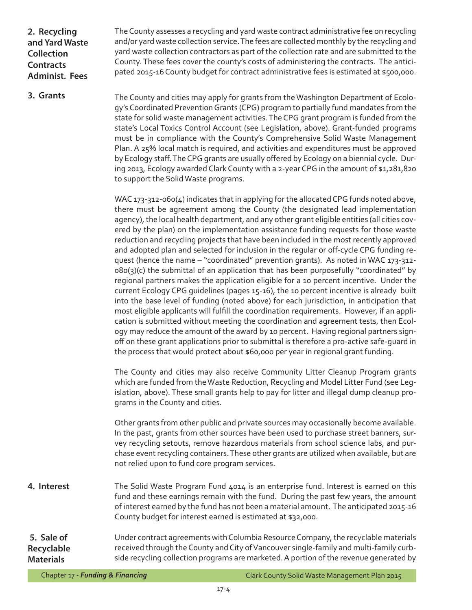**2. Recycling and Yard Waste Collection Contracts Administ. Fees**

The County assesses a recycling and yard waste contract administrative fee on recycling and/or yard waste collection service. The fees are collected monthly by the recycling and yard waste collection contractors as part of the collection rate and are submitted to the County. These fees cover the county's costs of administering the contracts. The anticipated 2015-16 County budget for contract administrative fees is estimated at \$500,000.

**3. Grants**

The County and cities may apply for grants from the Washington Department of Ecology's Coordinated Prevention Grants (CPG) program to partially fund mandates from the state for solid waste management activities. The CPG grant program is funded from the state's Local Toxics Control Account (see Legislation, above). Grant-funded programs must be in compliance with the County's Comprehensive Solid Waste Management Plan. A 25% local match is required, and activities and expenditures must be approved by Ecology staff. The CPG grants are usually offered by Ecology on a biennial cycle. During 2013, Ecology awarded Clark County with a 2-year CPG in the amount of \$1,281,820 to support the Solid Waste programs.

WAC 173-312-060(4) indicates that in applying for the allocated CPG funds noted above, there must be agreement among the County (the designated lead implementation agency), the local health department, and any other grant eligible entities (all cities covered by the plan) on the implementation assistance funding requests for those waste reduction and recycling projects that have been included in the most recently approved and adopted plan and selected for inclusion in the regular or off-cycle CPG funding request (hence the name – "coordinated" prevention grants). As noted in WAC 173-312-  $080(3)(c)$  the submittal of an application that has been purposefully "coordinated" by regional partners makes the application eligible for a 10 percent incentive. Under the current Ecology CPG guidelines (pages 15-16), the 10 percent incentive is already built into the base level of funding (noted above) for each jurisdiction, in anticipation that most eligible applicants will fulfill the coordination requirements. However, if an application is submitted without meeting the coordination and agreement tests, then Ecology may reduce the amount of the award by 10 percent. Having regional partners signoff on these grant applications prior to submittal is therefore a pro-active safe-guard in the process that would protect about \$60,000 per year in regional grant funding.

The County and cities may also receive Community Litter Cleanup Program grants which are funded from the Waste Reduction, Recycling and Model Litter Fund (see Legislation, above). These small grants help to pay for litter and illegal dump cleanup programs in the County and cities.

Other grants from other public and private sources may occasionally become available. In the past, grants from other sources have been used to purchase street banners, survey recycling setouts, remove hazardous materials from school science labs, and purchase event recycling containers. These other grants are utilized when available, but are not relied upon to fund core program services.

**4. Interest** The Solid Waste Program Fund 4014 is an enterprise fund. Interest is earned on this fund and these earnings remain with the fund. During the past few years, the amount of interest earned by the fund has not been a material amount. The anticipated 2015-16 County budget for interest earned is estimated at \$32,000.

 **5. Sale of Recyclable Materials** Under contract agreements with Columbia Resource Company, the recyclable materials received through the County and City of Vancouver single-family and multi-family curbside recycling collection programs are marketed. A portion of the revenue generated by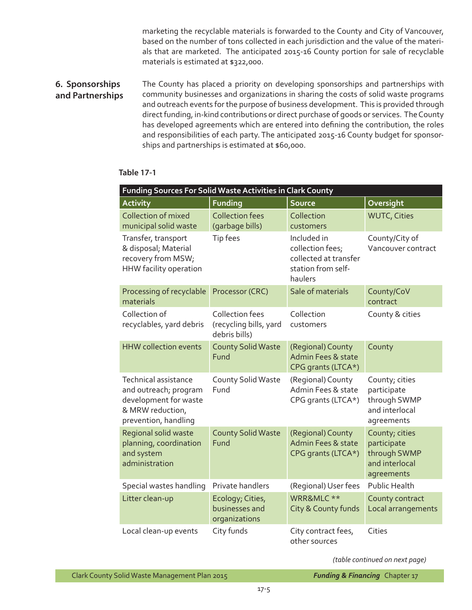marketing the recyclable materials is forwarded to the County and City of Vancouver, based on the number of tons collected in each jurisdiction and the value of the materials that are marketed. The anticipated 2015-16 County portion for sale of recyclable materials is estimated at \$322,000.

#### **6. Sponsorships and Partnerships** The County has placed a priority on developing sponsorships and partnerships with community businesses and organizations in sharing the costs of solid waste programs and outreach events for the purpose of business development. This is provided through direct funding, in-kind contributions or direct purchase of goods or services. The County has developed agreements which are entered into defining the contribution, the roles and responsibilities of each party. The anticipated 2015-16 County budget for sponsorships and partnerships is estimated at \$60,000.

| Funding Sources For Solid Waste Activities in Clark County                                                                |                                                                   |                                                                                           |                                                                               |  |
|---------------------------------------------------------------------------------------------------------------------------|-------------------------------------------------------------------|-------------------------------------------------------------------------------------------|-------------------------------------------------------------------------------|--|
| <b>Activity</b>                                                                                                           | <b>Funding</b>                                                    | <b>Source</b>                                                                             | Oversight                                                                     |  |
| Collection of mixed<br>municipal solid waste                                                                              | <b>Collection fees</b><br>(garbage bills)                         | Collection<br>customers                                                                   | <b>WUTC, Cities</b>                                                           |  |
| Transfer, transport<br>& disposal; Material<br>recovery from MSW;<br>HHW facility operation                               | Tip fees                                                          | Included in<br>collection fees;<br>collected at transfer<br>station from self-<br>haulers | County/City of<br>Vancouver contract                                          |  |
| Processing of recyclable<br>materials                                                                                     | Processor (CRC)                                                   | Sale of materials                                                                         | County/CoV<br>contract                                                        |  |
| Collection of<br>recyclables, yard debris                                                                                 | <b>Collection fees</b><br>(recycling bills, yard<br>debris bills) | Collection<br>customers                                                                   | County & cities                                                               |  |
| <b>HHW</b> collection events                                                                                              | <b>County Solid Waste</b><br>Fund                                 | (Regional) County<br>Admin Fees & state<br>CPG grants (LTCA*)                             | County                                                                        |  |
| <b>Technical assistance</b><br>and outreach; program<br>development for waste<br>& MRW reduction,<br>prevention, handling | County Solid Waste<br>Fund                                        | (Regional) County<br>Admin Fees & state<br>CPG grants (LTCA*)                             | County; cities<br>participate<br>through SWMP<br>and interlocal<br>agreements |  |
| Regional solid waste<br>planning, coordination<br>and system<br>administration                                            | <b>County Solid Waste</b><br>Fund                                 | (Regional) County<br>Admin Fees & state<br>CPG grants (LTCA*)                             | County; cities<br>participate<br>through SWMP<br>and interlocal<br>agreements |  |
| Special wastes handling                                                                                                   | Private handlers                                                  | (Regional) User fees                                                                      | <b>Public Health</b>                                                          |  |
| Litter clean-up                                                                                                           | Ecology; Cities,<br>businesses and<br>organizations               | WRR&MLC **<br>City & County funds                                                         | County contract<br>Local arrangements                                         |  |
| Local clean-up events                                                                                                     | City funds                                                        | City contract fees,<br>other sources                                                      | Cities                                                                        |  |

### **Table 17-1**

*(table continued on next page)*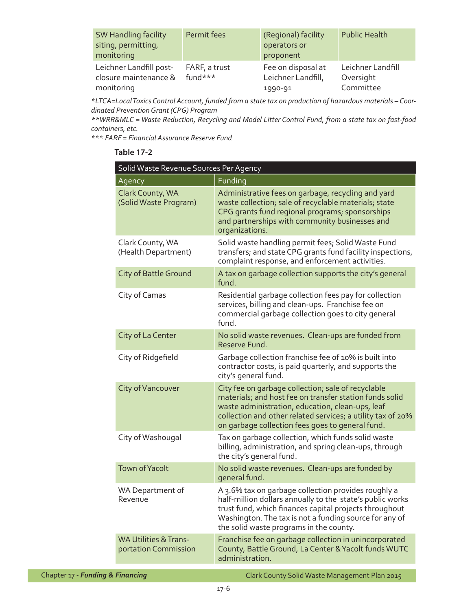| <b>SW Handling facility</b><br>siting, permitting,<br>monitoring | Permit fees              | (Regional) facility<br>operators or<br>proponent    | <b>Public Health</b>                        |
|------------------------------------------------------------------|--------------------------|-----------------------------------------------------|---------------------------------------------|
| Leichner Landfill post-<br>closure maintenance &<br>monitoring   | FARF, a trust<br>fund*** | Fee on disposal at<br>Leichner Landfill,<br>1990-91 | Leichner Landfill<br>Oversight<br>Committee |

*\*LTCA=Local Toxics Control Account, funded from a state tax on production of hazardous materials – Coordinated Prevention Grant (CPG) Program*

*\*\*WRR&MLC = Waste Reduction, Recycling and Model Litter Control Fund, from a state tax on fast-food containers, etc.* 

*\*\*\* FARF = Financial Assurance Reserve Fund*

### **Table 17-2**

|                                  | Solid Waste Revenue Sources Per Agency                   |                                                                                                                                                                                                                                                                                      |
|----------------------------------|----------------------------------------------------------|--------------------------------------------------------------------------------------------------------------------------------------------------------------------------------------------------------------------------------------------------------------------------------------|
|                                  | Agency                                                   | Funding                                                                                                                                                                                                                                                                              |
|                                  | Clark County, WA<br>(Solid Waste Program)                | Administrative fees on garbage, recycling and yard<br>waste collection; sale of recyclable materials; state<br>CPG grants fund regional programs; sponsorships<br>and partnerships with community businesses and<br>organizations.                                                   |
|                                  | Clark County, WA<br>(Health Department)                  | Solid waste handling permit fees; Solid Waste Fund<br>transfers; and state CPG grants fund facility inspections,<br>complaint response, and enforcement activities.                                                                                                                  |
|                                  | <b>City of Battle Ground</b>                             | A tax on garbage collection supports the city's general<br>fund.                                                                                                                                                                                                                     |
|                                  | City of Camas                                            | Residential garbage collection fees pay for collection<br>services, billing and clean-ups. Franchise fee on<br>commercial garbage collection goes to city general<br>fund.                                                                                                           |
|                                  | City of La Center                                        | No solid waste revenues. Clean-ups are funded from<br>Reserve Fund.                                                                                                                                                                                                                  |
|                                  | City of Ridgefield                                       | Garbage collection franchise fee of 10% is built into<br>contractor costs, is paid quarterly, and supports the<br>city's general fund.                                                                                                                                               |
|                                  | City of Vancouver                                        | City fee on garbage collection; sale of recyclable<br>materials; and host fee on transfer station funds solid<br>waste administration, education, clean-ups, leaf<br>collection and other related services; a utility tax of 20%<br>on garbage collection fees goes to general fund. |
|                                  | City of Washougal                                        | Tax on garbage collection, which funds solid waste<br>billing, administration, and spring clean-ups, through<br>the city's general fund.                                                                                                                                             |
|                                  | <b>Town of Yacolt</b>                                    | No solid waste revenues. Clean-ups are funded by<br>general fund.                                                                                                                                                                                                                    |
|                                  | WA Department of<br>Revenue                              | A 3.6% tax on garbage collection provides roughly a<br>half-million dollars annually to the state's public works<br>trust fund, which finances capital projects throughout<br>Washington. The tax is not a funding source for any of<br>the solid waste programs in the county.      |
|                                  | <b>WA Utilities &amp; Trans-</b><br>portation Commission | Franchise fee on garbage collection in unincorporated<br>County, Battle Ground, La Center & Yacolt funds WUTC<br>administration.                                                                                                                                                     |
| Chapter 17 - Funding & Financing |                                                          | Clark County Solid Waste Management Plan 2015                                                                                                                                                                                                                                        |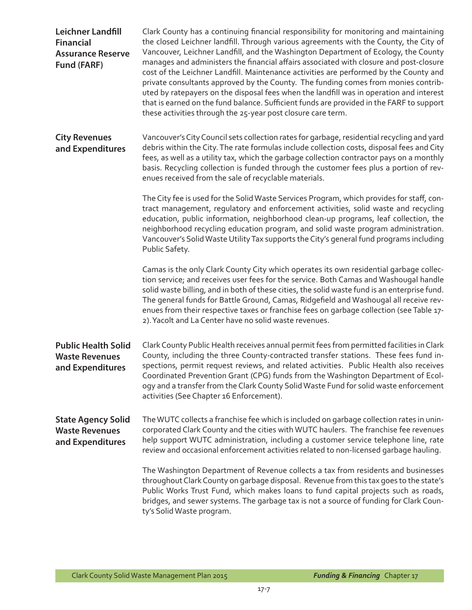| <b>Leichner Landfill</b><br><b>Financial</b><br><b>Assurance Reserve</b><br>Fund (FARF) | Clark County has a continuing financial responsibility for monitoring and maintaining<br>the closed Leichner landfill. Through various agreements with the County, the City of<br>Vancouver, Leichner Landfill, and the Washington Department of Ecology, the County<br>manages and administers the financial affairs associated with closure and post-closure<br>cost of the Leichner Landfill. Maintenance activities are performed by the County and<br>private consultants approved by the County. The funding comes from monies contrib-<br>uted by ratepayers on the disposal fees when the landfill was in operation and interest<br>that is earned on the fund balance. Sufficient funds are provided in the FARF to support<br>these activities through the 25-year post closure care term. |
|-----------------------------------------------------------------------------------------|------------------------------------------------------------------------------------------------------------------------------------------------------------------------------------------------------------------------------------------------------------------------------------------------------------------------------------------------------------------------------------------------------------------------------------------------------------------------------------------------------------------------------------------------------------------------------------------------------------------------------------------------------------------------------------------------------------------------------------------------------------------------------------------------------|
| <b>City Revenues</b><br>and Expenditures                                                | Vancouver's City Council sets collection rates for garbage, residential recycling and yard<br>debris within the City. The rate formulas include collection costs, disposal fees and City<br>fees, as well as a utility tax, which the garbage collection contractor pays on a monthly<br>basis. Recycling collection is funded through the customer fees plus a portion of rev-<br>enues received from the sale of recyclable materials.                                                                                                                                                                                                                                                                                                                                                             |
|                                                                                         | The City fee is used for the Solid Waste Services Program, which provides for staff, con-<br>tract management, regulatory and enforcement activities, solid waste and recycling<br>education, public information, neighborhood clean-up programs, leaf collection, the<br>neighborhood recycling education program, and solid waste program administration.<br>Vancouver's Solid Waste Utility Tax supports the City's general fund programs including<br>Public Safety.                                                                                                                                                                                                                                                                                                                             |
|                                                                                         | Camas is the only Clark County City which operates its own residential garbage collec-<br>tion service; and receives user fees for the service. Both Camas and Washougal handle<br>solid waste billing, and in both of these cities, the solid waste fund is an enterprise fund.<br>The general funds for Battle Ground, Camas, Ridgefield and Washougal all receive rev-<br>enues from their respective taxes or franchise fees on garbage collection (see Table 17-<br>2). Yacolt and La Center have no solid waste revenues.                                                                                                                                                                                                                                                                      |
| <b>Public Health Solid</b><br><b>Waste Revenues</b><br>and Expenditures                 | Clark County Public Health receives annual permit fees from permitted facilities in Clark<br>County, including the three County-contracted transfer stations. These fees fund in-<br>spections, permit request reviews, and related activities. Public Health also receives<br>Coordinated Prevention Grant (CPG) funds from the Washington Department of Ecol-<br>oqy and a transfer from the Clark County Solid Waste Fund for solid waste enforcement<br>activities (See Chapter 16 Enforcement).                                                                                                                                                                                                                                                                                                 |
| <b>State Agency Solid</b><br><b>Waste Revenues</b><br>and Expenditures                  | The WUTC collects a franchise fee which is included on garbage collection rates in unin-<br>corporated Clark County and the cities with WUTC haulers. The franchise fee revenues<br>help support WUTC administration, including a customer service telephone line, rate<br>review and occasional enforcement activities related to non-licensed garbage hauling.                                                                                                                                                                                                                                                                                                                                                                                                                                     |
|                                                                                         | The Washington Department of Revenue collects a tax from residents and businesses<br>throughout Clark County on garbage disposal. Revenue from this tax goes to the state's<br>Public Works Trust Fund, which makes loans to fund capital projects such as roads,<br>bridges, and sewer systems. The garbage tax is not a source of funding for Clark Coun-<br>ty's Solid Waste program.                                                                                                                                                                                                                                                                                                                                                                                                             |